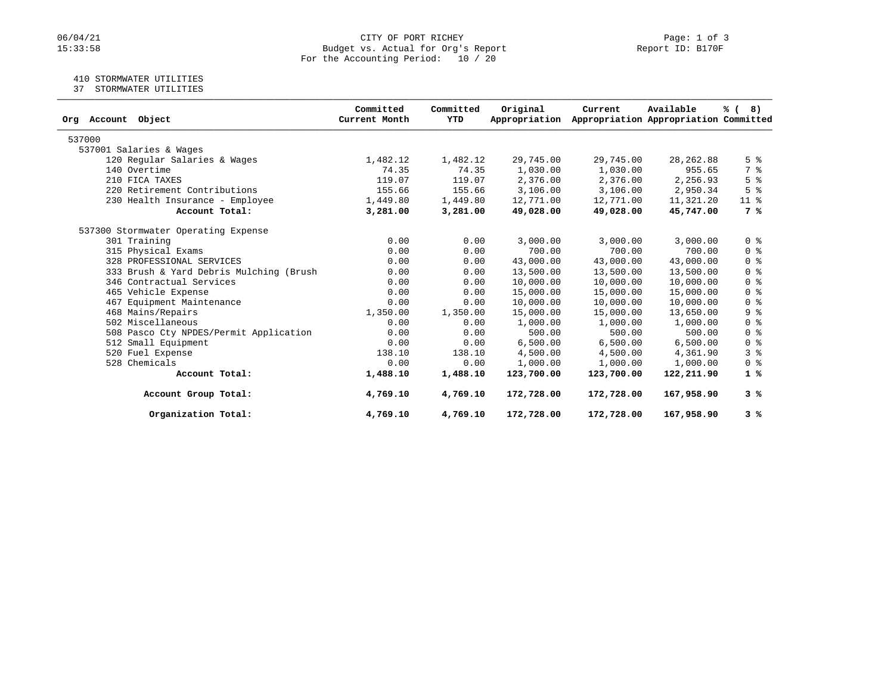# 06/04/21 CITY OF PORT RICHEY Page: 1 of 3<br>15:33:58 Budget vs. Actual for Org's Report Page: 1 Of 3 Budget vs. Actual for Org's Report For the Accounting Period: 10 / 20

# 410 STORMWATER UTILITIES

37 STORMWATER UTILITIES

| Org Account Object                      | Committed<br>Current Month | Committed<br><b>YTD</b> | Original<br>Appropriation | Current    | Available<br>Appropriation Appropriation Committed | % (8)                              |
|-----------------------------------------|----------------------------|-------------------------|---------------------------|------------|----------------------------------------------------|------------------------------------|
| 537000                                  |                            |                         |                           |            |                                                    |                                    |
| 537001 Salaries & Wages                 |                            |                         |                           |            |                                                    |                                    |
| 120 Regular Salaries & Wages            | 1,482.12                   | 1,482.12                | 29,745.00                 | 29,745.00  | 28, 262.88                                         | 5 <sup>8</sup>                     |
| 140 Overtime                            | 74.35                      | 74.35                   | 1,030.00                  | 1,030.00   | 955.65                                             | 7 %                                |
| 210 FICA TAXES                          | 119.07                     | 119.07                  | 2,376.00                  | 2,376.00   | 2,256.93                                           | 5 <sup>8</sup>                     |
| 220 Retirement Contributions            | 155.66                     | 155.66                  | 3,106.00                  | 3,106.00   | 2,950.34                                           | 5 <sup>8</sup>                     |
| 230 Health Insurance - Employee         | 1,449.80                   | 1,449.80                | 12,771.00                 | 12,771.00  | 11,321.20                                          | $11$ %                             |
| Account Total:                          | 3,281.00                   | 3,281.00                | 49,028.00                 | 49,028.00  | 45,747.00                                          | 7 %                                |
| 537300 Stormwater Operating Expense     |                            |                         |                           |            |                                                    |                                    |
| 301 Training                            | 0.00                       | 0.00                    | 3,000.00                  | 3,000.00   | 3,000.00                                           | 0 <sup>8</sup>                     |
| 315 Physical Exams                      | 0.00                       | 0.00                    | 700.00                    | 700.00     | 700.00                                             | $0 \text{ }$ $\text{ }$ $\text{ }$ |
| 328 PROFESSIONAL SERVICES               | 0.00                       | 0.00                    | 43,000.00                 | 43,000.00  | 43,000.00                                          | 0 <sup>8</sup>                     |
| 333 Brush & Yard Debris Mulching (Brush | 0.00                       | 0.00                    | 13,500.00                 | 13,500.00  | 13,500.00                                          | 0 <sup>8</sup>                     |
| 346 Contractual Services                | 0.00                       | 0.00                    | 10,000.00                 | 10,000.00  | 10,000.00                                          | 0 <sup>8</sup>                     |
| 465 Vehicle Expense                     | 0.00                       | 0.00                    | 15,000.00                 | 15,000.00  | 15,000.00                                          | 0 <sup>8</sup>                     |
| 467 Equipment Maintenance               | 0.00                       | 0.00                    | 10,000.00                 | 10,000.00  | 10,000.00                                          | 0 <sup>8</sup>                     |
| 468 Mains/Repairs                       | 1,350.00                   | 1,350.00                | 15,000.00                 | 15,000.00  | 13,650.00                                          | 9%                                 |
| 502 Miscellaneous                       | 0.00                       | 0.00                    | 1,000.00                  | 1,000.00   | 1,000.00                                           | 0 <sup>8</sup>                     |
| 508 Pasco Cty NPDES/Permit Application  | 0.00                       | 0.00                    | 500.00                    | 500.00     | 500.00                                             | $0 \text{ }$ $\text{ }$ $\text{ }$ |
| 512 Small Equipment                     | 0.00                       | 0.00                    | 6,500.00                  | 6,500.00   | 6,500.00                                           | 0 <sup>8</sup>                     |
| 520 Fuel Expense                        | 138.10                     | 138.10                  | 4,500.00                  | 4,500.00   | 4,361.90                                           | 3 <sup>8</sup>                     |
| 528 Chemicals                           | 0.00                       | 0.00                    | 1,000.00                  | 1,000.00   | 1,000.00                                           | 0 <sup>8</sup>                     |
| Account Total:                          | 1,488.10                   | 1,488.10                | 123,700.00                | 123,700.00 | 122,211.90                                         | 1%                                 |
| Account Group Total:                    | 4,769.10                   | 4,769.10                | 172,728.00                | 172,728.00 | 167,958.90                                         | 3%                                 |
| Organization Total:                     | 4,769.10                   | 4,769.10                | 172,728.00                | 172,728.00 | 167,958.90                                         | 3%                                 |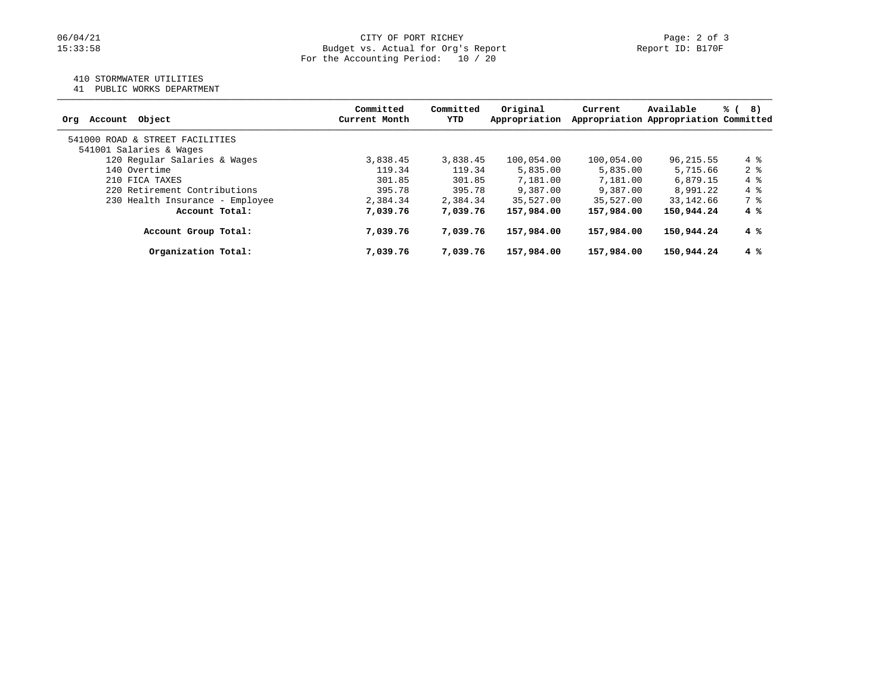### 410 STORMWATER UTILITIES

41 PUBLIC WORKS DEPARTMENT

| Account Object<br>Ora           | Committed<br>Current Month | Committed<br>YTD | Original<br>Appropriation | Current    | Available<br>Appropriation Appropriation Committed | % (<br>8)      |
|---------------------------------|----------------------------|------------------|---------------------------|------------|----------------------------------------------------|----------------|
| 541000 ROAD & STREET FACILITIES |                            |                  |                           |            |                                                    |                |
| 541001 Salaries & Wages         |                            |                  |                           |            |                                                    |                |
| 120 Regular Salaries & Wages    | 3,838.45                   | 3,838.45         | 100,054.00                | 100,054.00 | 96, 215.55                                         | $4\degree$     |
| 140 Overtime                    | 119.34                     | 119.34           | 5,835.00                  | 5,835.00   | 5,715.66                                           | 2 <sup>8</sup> |
| 210 FICA TAXES                  | 301.85                     | 301.85           | 7,181.00                  | 7,181.00   | 6,879.15                                           | $4\degree$     |
| 220 Retirement Contributions    | 395.78                     | 395.78           | 9,387.00                  | 9,387.00   | 8,991.22                                           | $4\degree$     |
| 230 Health Insurance - Employee | 2,384.34                   | 2,384.34         | 35,527.00                 | 35,527.00  | 33,142.66                                          | 7 %            |
| Account Total:                  | 7,039.76                   | 7,039.76         | 157,984.00                | 157,984.00 | 150,944.24                                         | $4 \text{ }$   |
| Account Group Total:            | 7,039.76                   | 7,039.76         | 157,984.00                | 157,984.00 | 150,944.24                                         | $4 \text{ }$   |
| Organization Total:             | 7,039.76                   | 7,039.76         | 157,984.00                | 157,984.00 | 150,944.24                                         | $4 \text{ }$   |